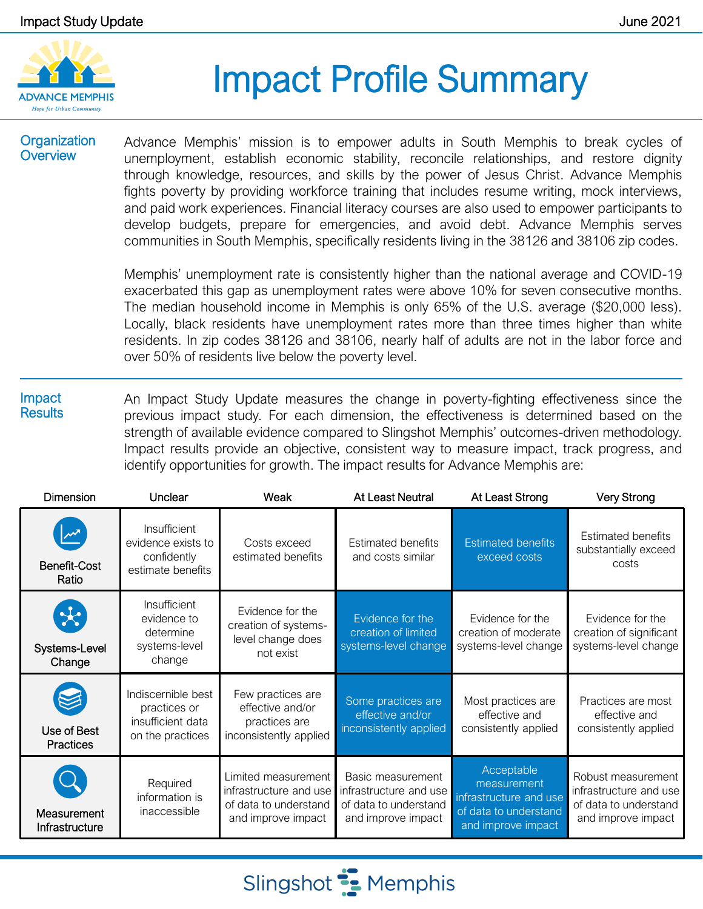

# Impact Profile Summary

#### **Organization Overview**

Advance Memphis' mission is to empower adults in South Memphis to break cycles of unemployment, establish economic stability, reconcile relationships, and restore dignity through knowledge, resources, and skills by the power of Jesus Christ. Advance Memphis fights poverty by providing workforce training that includes resume writing, mock interviews, and paid work experiences. Financial literacy courses are also used to empower participants to develop budgets, prepare for emergencies, and avoid debt. Advance Memphis serves communities in South Memphis, specifically residents living in the 38126 and 38106 zip codes.

Memphis' unemployment rate is consistently higher than the national average and COVID-19 exacerbated this gap as unemployment rates were above 10% for seven consecutive months. The median household income in Memphis is only 65% of the U.S. average (\$20,000 less). Locally, black residents have unemployment rates more than three times higher than white residents. In zip codes 38126 and 38106, nearly half of adults are not in the labor force and over 50% of residents live below the poverty level.

#### Impact **Results** An Impact Study Update measures the change in poverty-fighting effectiveness since the previous impact study. For each dimension, the effectiveness is determined based on the strength of available evidence compared to Slingshot Memphis' outcomes-driven methodology. Impact results provide an objective, consistent way to measure impact, track progress, and identify opportunities for growth. The impact results for Advance Memphis are:

| <b>Dimension</b>                         | Unclear                                                                     | Weak                                                                                         | At Least Neutral                                                                           | At Least Strong                                                                                    | <b>Very Strong</b>                                                                          |
|------------------------------------------|-----------------------------------------------------------------------------|----------------------------------------------------------------------------------------------|--------------------------------------------------------------------------------------------|----------------------------------------------------------------------------------------------------|---------------------------------------------------------------------------------------------|
| Benefit-Cost<br>Ratio                    | Insufficient<br>evidence exists to<br>confidently<br>estimate benefits      | Costs exceed<br>estimated benefits                                                           | <b>Estimated benefits</b><br>and costs similar                                             | <b>Estimated benefits</b><br>exceed costs                                                          | <b>Estimated benefits</b><br>substantially exceed<br>costs                                  |
| $\mathcal{R}$<br>Systems-Level<br>Change | Insufficient<br>evidence to<br>determine<br>systems-level<br>change         | Evidence for the<br>creation of systems-<br>level change does<br>not exist                   | Evidence for the<br>creation of limited<br>systems-level change                            | Evidence for the<br>creation of moderate<br>systems-level change                                   | Evidence for the<br>creation of significant<br>systems-level change                         |
| Use of Best<br><b>Practices</b>          | Indiscernible best<br>practices or<br>insufficient data<br>on the practices | Few practices are<br>effective and/or<br>practices are<br>inconsistently applied             | Some practices are<br>effective and/or<br>inconsistently applied                           | Most practices are<br>effective and<br>consistently applied                                        | Practices are most<br>effective and<br>consistently applied                                 |
| Measurement<br>Infrastructure            | Required<br>information is<br>inaccessible                                  | Limited measurement<br>infrastructure and use<br>of data to understand<br>and improve impact | Basic measurement<br>infrastructure and use<br>of data to understand<br>and improve impact | Acceptable<br>measurement<br>infrastructure and use<br>of data to understand<br>and improve impact | Robust measurement<br>infrastructure and use<br>of data to understand<br>and improve impact |

Slingshot **:** Memphis